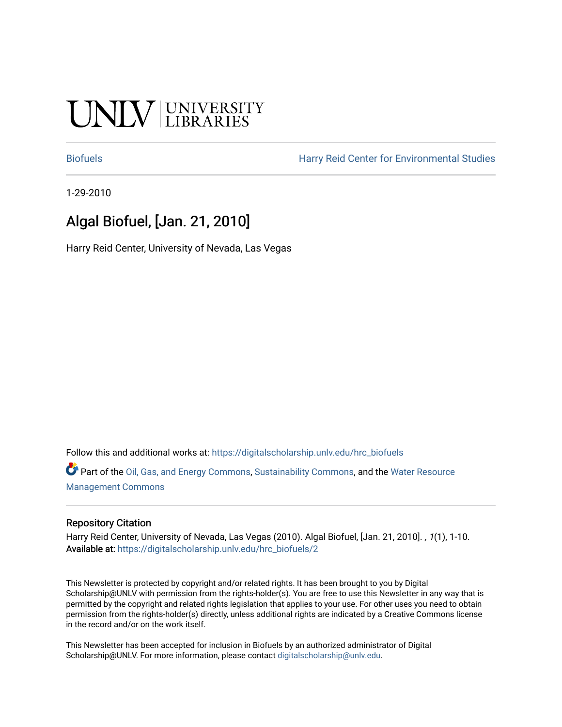# UNIV UNIVERSITY

[Biofuels](https://digitalscholarship.unlv.edu/hrc_biofuels) [Harry Reid Center for Environmental Studies](https://digitalscholarship.unlv.edu/hrc) 

1-29-2010

# Algal Biofuel, [Jan. 21, 2010]

Harry Reid Center, University of Nevada, Las Vegas

Follow this and additional works at: [https://digitalscholarship.unlv.edu/hrc\\_biofuels](https://digitalscholarship.unlv.edu/hrc_biofuels?utm_source=digitalscholarship.unlv.edu%2Fhrc_biofuels%2F2&utm_medium=PDF&utm_campaign=PDFCoverPages) 

Part of the [Oil, Gas, and Energy Commons](http://network.bepress.com/hgg/discipline/171?utm_source=digitalscholarship.unlv.edu%2Fhrc_biofuels%2F2&utm_medium=PDF&utm_campaign=PDFCoverPages), [Sustainability Commons,](http://network.bepress.com/hgg/discipline/1031?utm_source=digitalscholarship.unlv.edu%2Fhrc_biofuels%2F2&utm_medium=PDF&utm_campaign=PDFCoverPages) and the [Water Resource](http://network.bepress.com/hgg/discipline/1057?utm_source=digitalscholarship.unlv.edu%2Fhrc_biofuels%2F2&utm_medium=PDF&utm_campaign=PDFCoverPages)  [Management Commons](http://network.bepress.com/hgg/discipline/1057?utm_source=digitalscholarship.unlv.edu%2Fhrc_biofuels%2F2&utm_medium=PDF&utm_campaign=PDFCoverPages)

#### Repository Citation

Harry Reid Center, University of Nevada, Las Vegas (2010). Algal Biofuel, [Jan. 21, 2010]. , 1(1), 1-10. Available at: [https://digitalscholarship.unlv.edu/hrc\\_biofuels/2](https://digitalscholarship.unlv.edu/hrc_biofuels/2) 

This Newsletter is protected by copyright and/or related rights. It has been brought to you by Digital Scholarship@UNLV with permission from the rights-holder(s). You are free to use this Newsletter in any way that is permitted by the copyright and related rights legislation that applies to your use. For other uses you need to obtain permission from the rights-holder(s) directly, unless additional rights are indicated by a Creative Commons license in the record and/or on the work itself.

This Newsletter has been accepted for inclusion in Biofuels by an authorized administrator of Digital Scholarship@UNLV. For more information, please contact [digitalscholarship@unlv.edu.](mailto:digitalscholarship@unlv.edu)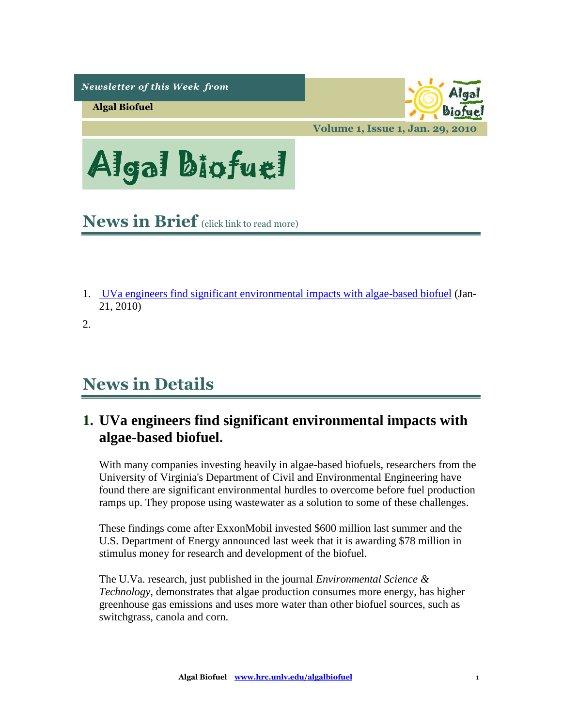*Newsletter of this Week from* 

**Algal Biofuel**

biofue

**Volume 1, Issue 1, Jan. 29, 2010**

Algal Biofuel

<span id="page-1-1"></span>**News in Brief** (click link to read more)

1. [UVa engineers find significant environmental impacts with algae-based biofuel](#page-1-0) (Jan-21, 2010)

2.

# **News in Details**

# <span id="page-1-0"></span>**1. UVa engineers find significant environmental impacts with algae-based biofuel.**

With many companies investing heavily in algae-based biofuels, researchers from the University of Virginia's Department of Civil and Environmental Engineering have found there are significant environmental hurdles to overcome before fuel production ramps up. They propose using wastewater as a solution to some of these challenges.

These findings come after ExxonMobil invested \$600 million last summer and the U.S. Department of Energy announced last week that it is awarding \$78 million in stimulus money for research and development of the biofuel.

The U.Va. research, just published in the journal *Environmental Science & Technology*, demonstrates that algae production consumes more energy, has higher greenhouse gas emissions and uses more water than other biofuel sources, such as switchgrass, canola and corn.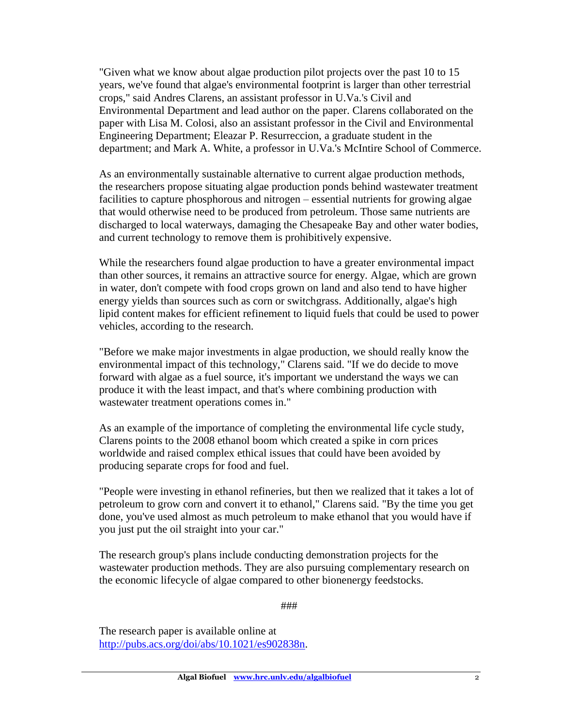"Given what we know about algae production pilot projects over the past 10 to 15 years, we've found that algae's environmental footprint is larger than other terrestrial crops," said Andres Clarens, an assistant professor in U.Va.'s Civil and Environmental Department and lead author on the paper. Clarens collaborated on the paper with Lisa M. Colosi, also an assistant professor in the Civil and Environmental Engineering Department; Eleazar P. Resurreccion, a graduate student in the department; and Mark A. White, a professor in U.Va.'s McIntire School of Commerce.

As an environmentally sustainable alternative to current algae production methods, the researchers propose situating algae production ponds behind wastewater treatment facilities to capture phosphorous and nitrogen – essential nutrients for growing algae that would otherwise need to be produced from petroleum. Those same nutrients are discharged to local waterways, damaging the Chesapeake Bay and other water bodies, and current technology to remove them is prohibitively expensive.

While the researchers found algae production to have a greater environmental impact than other sources, it remains an attractive source for energy. Algae, which are grown in water, don't compete with food crops grown on land and also tend to have higher energy yields than sources such as corn or switchgrass. Additionally, algae's high lipid content makes for efficient refinement to liquid fuels that could be used to power vehicles, according to the research.

"Before we make major investments in algae production, we should really know the environmental impact of this technology," Clarens said. "If we do decide to move forward with algae as a fuel source, it's important we understand the ways we can produce it with the least impact, and that's where combining production with wastewater treatment operations comes in."

As an example of the importance of completing the environmental life cycle study, Clarens points to the 2008 ethanol boom which created a spike in corn prices worldwide and raised complex ethical issues that could have been avoided by producing separate crops for food and fuel.

"People were investing in ethanol refineries, but then we realized that it takes a lot of petroleum to grow corn and convert it to ethanol," Clarens said. "By the time you get done, you've used almost as much petroleum to make ethanol that you would have if you just put the oil straight into your car."

The research group's plans include conducting demonstration projects for the wastewater production methods. They are also pursuing complementary research on the economic lifecycle of algae compared to other bionenergy feedstocks.

###

The research paper is available online at [http://pubs.acs.org/doi/abs/10.1021/es902838n.](http://pubs.acs.org/doi/abs/10.1021/es902838n)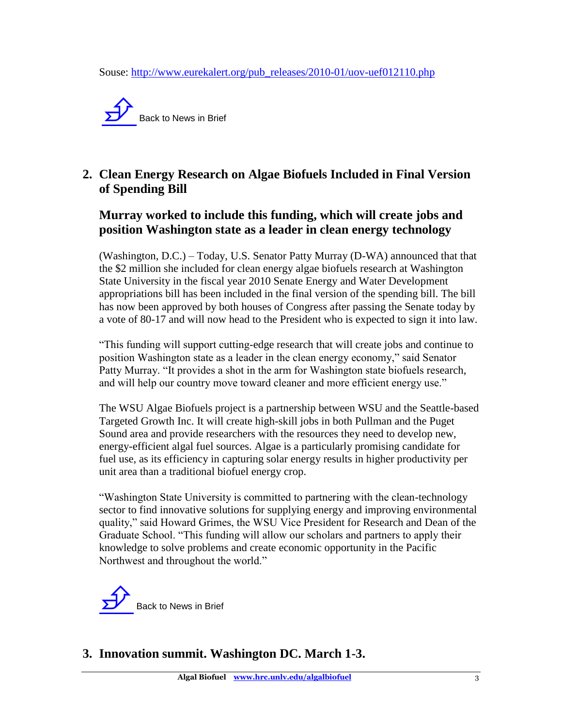Souse: [http://www.eurekalert.org/pub\\_releases/2010-01/uov-uef012110.php](http://www.eurekalert.org/pub_releases/2010-01/uov-uef012110.php)



## **2. Clean Energy Research on Algae Biofuels Included in Final Version of Spending Bill**

#### **Murray worked to include this funding, which will create jobs and position Washington state as a leader in clean energy technology**

(Washington, D.C.) – Today, U.S. Senator Patty Murray (D-WA) announced that that the \$2 million she included for clean energy algae biofuels research at Washington State University in the fiscal year 2010 Senate Energy and Water Development appropriations bill has been included in the final version of the spending bill. The bill has now been approved by both houses of Congress after passing the Senate today by a vote of 80-17 and will now head to the President who is expected to sign it into law.

"This funding will support cutting-edge research that will create jobs and continue to position Washington state as a leader in the clean energy economy," said Senator Patty Murray. "It provides a shot in the arm for Washington state biofuels research, and will help our country move toward cleaner and more efficient energy use."

The WSU Algae Biofuels project is a partnership between WSU and the Seattle-based Targeted Growth Inc. It will create high-skill jobs in both Pullman and the Puget Sound area and provide researchers with the resources they need to develop new, energy-efficient algal fuel sources. Algae is a particularly promising candidate for fuel use, as its efficiency in capturing solar energy results in higher productivity per unit area than a traditional biofuel energy crop.

"Washington State University is committed to partnering with the clean-technology sector to find innovative solutions for supplying energy and improving environmental quality," said Howard Grimes, the WSU Vice President for Research and Dean of the Graduate School. "This funding will allow our scholars and partners to apply their knowledge to solve problems and create economic opportunity in the Pacific Northwest and throughout the world."



**3. Innovation summit. Washington DC. March 1-3.**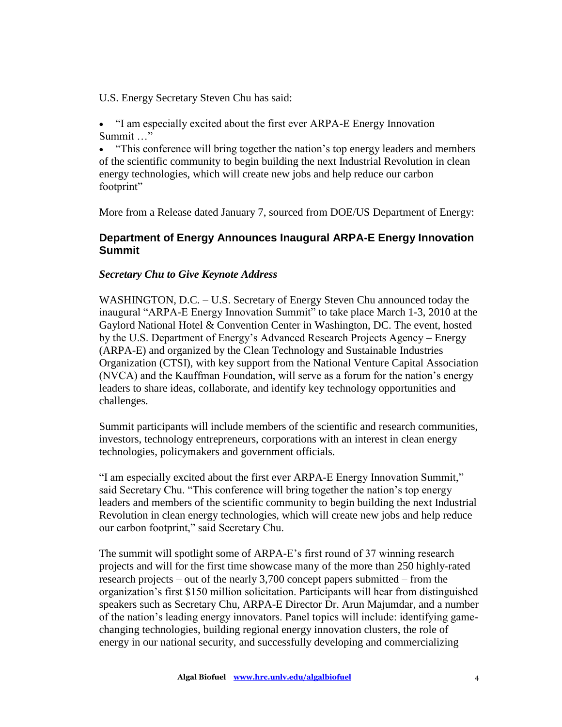U.S. Energy Secretary Steven Chu has said:

 "I am especially excited about the first ever ARPA-E Energy Innovation Summit …

 "This conference will bring together the nation's top energy leaders and members of the scientific community to begin building the next Industrial Revolution in clean energy technologies, which will create new jobs and help reduce our carbon footprint"

More from a Release dated January 7, sourced from DOE/US Department of Energy:

#### **Department of Energy Announces Inaugural ARPA-E Energy Innovation Summit**

#### *Secretary Chu to Give Keynote Address*

WASHINGTON, D.C. – U.S. Secretary of Energy Steven Chu announced today the inaugural "ARPA-E Energy Innovation Summit" to take place March 1-3, 2010 at the Gaylord National Hotel & Convention Center in Washington, DC. The event, hosted by the U.S. Department of Energy's Advanced Research Projects Agency – Energy (ARPA-E) and organized by the Clean Technology and Sustainable Industries Organization (CTSI), with key support from the National Venture Capital Association (NVCA) and the Kauffman Foundation, will serve as a forum for the nation's energy leaders to share ideas, collaborate, and identify key technology opportunities and challenges.

Summit participants will include members of the scientific and research communities, investors, technology entrepreneurs, corporations with an interest in clean energy technologies, policymakers and government officials.

"I am especially excited about the first ever ARPA-E Energy Innovation Summit," said Secretary Chu. "This conference will bring together the nation's top energy leaders and members of the scientific community to begin building the next Industrial Revolution in clean energy technologies, which will create new jobs and help reduce our carbon footprint," said Secretary Chu.

The summit will spotlight some of ARPA-E's first round of 37 winning research projects and will for the first time showcase many of the more than 250 highly-rated research projects – out of the nearly 3,700 concept papers submitted – from the organization's first \$150 million solicitation. Participants will hear from distinguished speakers such as Secretary Chu, ARPA-E Director Dr. Arun Majumdar, and a number of the nation's leading energy innovators. Panel topics will include: identifying gamechanging technologies, building regional energy innovation clusters, the role of energy in our national security, and successfully developing and commercializing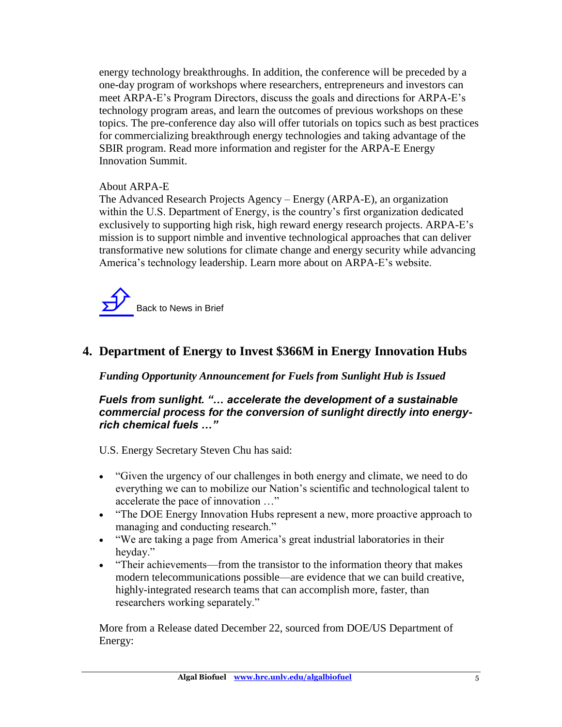energy technology breakthroughs. In addition, the conference will be preceded by a one-day program of workshops where researchers, entrepreneurs and investors can meet ARPA-E's Program Directors, discuss the goals and directions for ARPA-E's technology program areas, and learn the outcomes of previous workshops on these topics. The pre-conference day also will offer tutorials on topics such as best practices for commercializing breakthrough energy technologies and taking advantage of the SBIR program. Read more information and register for the ARPA-E Energy Innovation Summit.

#### About ARPA-E

The Advanced Research Projects Agency – Energy (ARPA-E), an organization within the U.S. Department of Energy, is the country's first organization dedicated exclusively to supporting high risk, high reward energy research projects. ARPA-E's mission is to support nimble and inventive technological approaches that can deliver transformative new solutions for climate change and energy security while advancing America's technology leadership. Learn more about on ARPA-E's website.



### **4. Department of Energy to Invest \$366M in Energy Innovation Hubs**

*Funding Opportunity Announcement for Fuels from Sunlight Hub is Issued*

*Fuels from sunlight. "… accelerate the development of a sustainable commercial process for the conversion of sunlight directly into energyrich chemical fuels …"*

U.S. Energy Secretary Steven Chu has said:

- "Given the urgency of our challenges in both energy and climate, we need to do everything we can to mobilize our Nation's scientific and technological talent to accelerate the pace of innovation …"
- "The DOE Energy Innovation Hubs represent a new, more proactive approach to managing and conducting research."
- "We are taking a page from America's great industrial laboratories in their heyday."
- "Their achievements—from the transistor to the information theory that makes modern telecommunications possible—are evidence that we can build creative, highly-integrated research teams that can accomplish more, faster, than researchers working separately."

More from a Release dated December 22, sourced from DOE/US Department of Energy: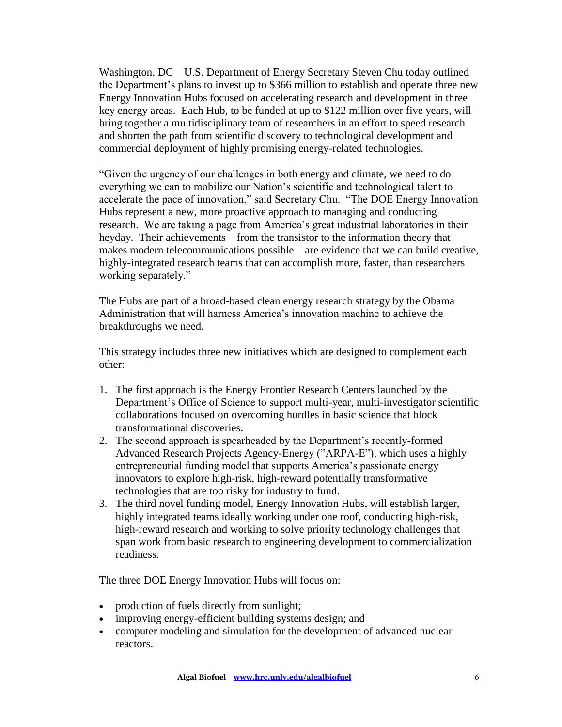Washington, DC – U.S. Department of Energy Secretary Steven Chu today outlined the Department's plans to invest up to \$366 million to establish and operate three new Energy Innovation Hubs focused on accelerating research and development in three key energy areas. Each Hub, to be funded at up to \$122 million over five years, will bring together a multidisciplinary team of researchers in an effort to speed research and shorten the path from scientific discovery to technological development and commercial deployment of highly promising energy-related technologies.

"Given the urgency of our challenges in both energy and climate, we need to do everything we can to mobilize our Nation's scientific and technological talent to accelerate the pace of innovation," said Secretary Chu. "The DOE Energy Innovation Hubs represent a new, more proactive approach to managing and conducting research. We are taking a page from America's great industrial laboratories in their heyday. Their achievements—from the transistor to the information theory that makes modern telecommunications possible—are evidence that we can build creative, highly-integrated research teams that can accomplish more, faster, than researchers working separately."

The Hubs are part of a broad-based clean energy research strategy by the Obama Administration that will harness America's innovation machine to achieve the breakthroughs we need.

This strategy includes three new initiatives which are designed to complement each other:

- 1. The first approach is the Energy Frontier Research Centers launched by the Department's Office of Science to support multi-year, multi-investigator scientific collaborations focused on overcoming hurdles in basic science that block transformational discoveries.
- 2. The second approach is spearheaded by the Department's recently-formed Advanced Research Projects Agency-Energy ("ARPA-E"), which uses a highly entrepreneurial funding model that supports America's passionate energy innovators to explore high-risk, high-reward potentially transformative technologies that are too risky for industry to fund.
- 3. The third novel funding model, Energy Innovation Hubs, will establish larger, highly integrated teams ideally working under one roof, conducting high-risk, high-reward research and working to solve priority technology challenges that span work from basic research to engineering development to commercialization readiness.

The three DOE Energy Innovation Hubs will focus on:

- production of fuels directly from sunlight;
- improving energy-efficient building systems design; and
- computer modeling and simulation for the development of advanced nuclear reactors.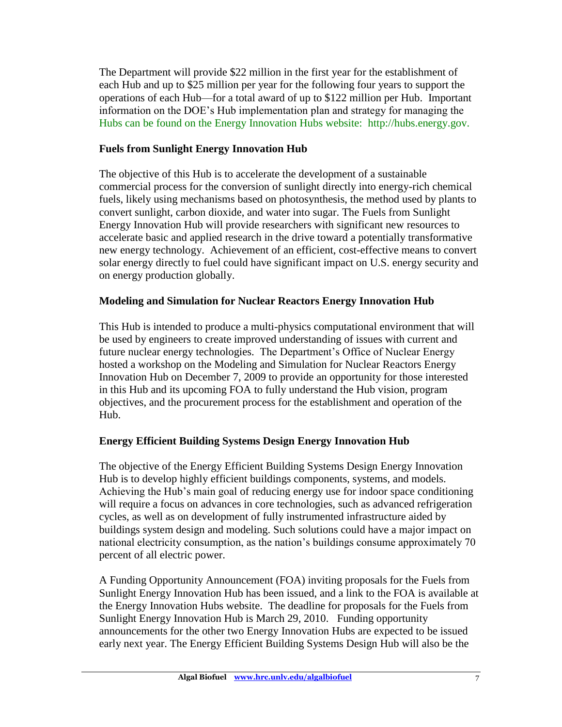The Department will provide \$22 million in the first year for the establishment of each Hub and up to \$25 million per year for the following four years to support the operations of each Hub—for a total award of up to \$122 million per Hub. Important information on the DOE's Hub implementation plan and strategy for managing the Hubs can be found on the Energy Innovation Hubs website: http://hubs.energy.gov.

#### **Fuels from Sunlight Energy Innovation Hub**

The objective of this Hub is to accelerate the development of a sustainable commercial process for the conversion of sunlight directly into energy-rich chemical fuels, likely using mechanisms based on photosynthesis, the method used by plants to convert sunlight, carbon dioxide, and water into sugar. The Fuels from Sunlight Energy Innovation Hub will provide researchers with significant new resources to accelerate basic and applied research in the drive toward a potentially transformative new energy technology. Achievement of an efficient, cost-effective means to convert solar energy directly to fuel could have significant impact on U.S. energy security and on energy production globally.

#### **Modeling and Simulation for Nuclear Reactors Energy Innovation Hub**

This Hub is intended to produce a multi-physics computational environment that will be used by engineers to create improved understanding of issues with current and future nuclear energy technologies. The Department's Office of Nuclear Energy hosted a workshop on the Modeling and Simulation for Nuclear Reactors Energy Innovation Hub on December 7, 2009 to provide an opportunity for those interested in this Hub and its upcoming FOA to fully understand the Hub vision, program objectives, and the procurement process for the establishment and operation of the Hub.

#### **Energy Efficient Building Systems Design Energy Innovation Hub**

The objective of the Energy Efficient Building Systems Design Energy Innovation Hub is to develop highly efficient buildings components, systems, and models. Achieving the Hub's main goal of reducing energy use for indoor space conditioning will require a focus on advances in core technologies, such as advanced refrigeration cycles, as well as on development of fully instrumented infrastructure aided by buildings system design and modeling. Such solutions could have a major impact on national electricity consumption, as the nation's buildings consume approximately 70 percent of all electric power.

A Funding Opportunity Announcement (FOA) inviting proposals for the Fuels from Sunlight Energy Innovation Hub has been issued, and a link to the FOA is available at the Energy Innovation Hubs website. The deadline for proposals for the Fuels from Sunlight Energy Innovation Hub is March 29, 2010. Funding opportunity announcements for the other two Energy Innovation Hubs are expected to be issued early next year. The Energy Efficient Building Systems Design Hub will also be the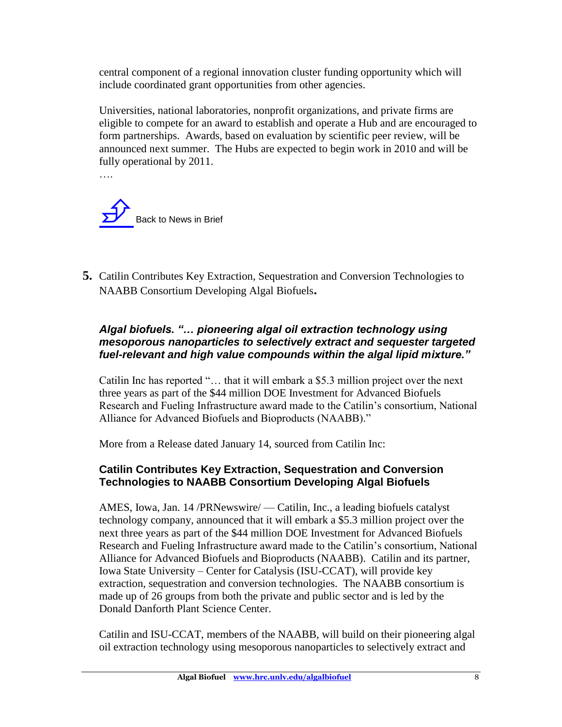central component of a regional innovation cluster funding opportunity which will include coordinated grant opportunities from other agencies.

Universities, national laboratories, nonprofit organizations, and private firms are eligible to compete for an award to establish and operate a Hub and are encouraged to form partnerships. Awards, based on evaluation by scientific peer review, will be announced next summer. The Hubs are expected to begin work in 2010 and will be fully operational by 2011.



**5.** Catilin Contributes Key Extraction, Sequestration and Conversion Technologies to NAABB Consortium Developing Algal Biofuels**.** 

#### *Algal biofuels. "… pioneering algal oil extraction technology using mesoporous nanoparticles to selectively extract and sequester targeted fuel-relevant and high value compounds within the algal lipid mixture."*

Catilin Inc has reported "… that it will embark a \$5.3 million project over the next three years as part of the \$44 million DOE Investment for Advanced Biofuels Research and Fueling Infrastructure award made to the Catilin's consortium, National Alliance for Advanced Biofuels and Bioproducts (NAABB)."

More from a Release dated January 14, sourced from Catilin Inc:

#### **Catilin Contributes Key Extraction, Sequestration and Conversion Technologies to NAABB Consortium Developing Algal Biofuels**

AMES, Iowa, Jan. 14 /PRNewswire/ — Catilin, Inc., a leading biofuels catalyst technology company, announced that it will embark a \$5.3 million project over the next three years as part of the \$44 million DOE Investment for Advanced Biofuels Research and Fueling Infrastructure award made to the Catilin's consortium, National Alliance for Advanced Biofuels and Bioproducts (NAABB). Catilin and its partner, Iowa State University – Center for Catalysis (ISU-CCAT), will provide key extraction, sequestration and conversion technologies. The NAABB consortium is made up of 26 groups from both the private and public sector and is led by the Donald Danforth Plant Science Center.

Catilin and ISU-CCAT, members of the NAABB, will build on their pioneering algal oil extraction technology using mesoporous nanoparticles to selectively extract and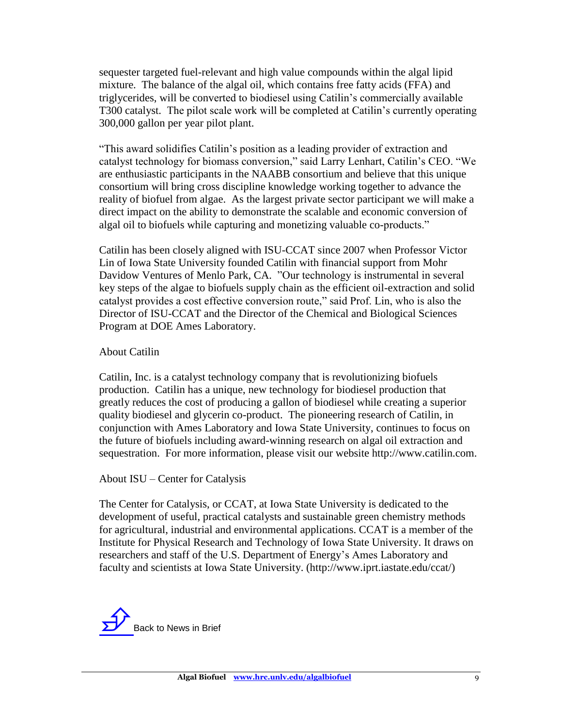sequester targeted fuel-relevant and high value compounds within the algal lipid mixture. The balance of the algal oil, which contains free fatty acids (FFA) and triglycerides, will be converted to biodiesel using Catilin's commercially available T300 catalyst. The pilot scale work will be completed at Catilin's currently operating 300,000 gallon per year pilot plant.

"This award solidifies Catilin's position as a leading provider of extraction and catalyst technology for biomass conversion," said Larry Lenhart, Catilin's CEO. "We are enthusiastic participants in the NAABB consortium and believe that this unique consortium will bring cross discipline knowledge working together to advance the reality of biofuel from algae. As the largest private sector participant we will make a direct impact on the ability to demonstrate the scalable and economic conversion of algal oil to biofuels while capturing and monetizing valuable co-products."

Catilin has been closely aligned with ISU-CCAT since 2007 when Professor Victor Lin of Iowa State University founded Catilin with financial support from Mohr Davidow Ventures of Menlo Park, CA. "Our technology is instrumental in several key steps of the algae to biofuels supply chain as the efficient oil-extraction and solid catalyst provides a cost effective conversion route," said Prof. Lin, who is also the Director of ISU-CCAT and the Director of the Chemical and Biological Sciences Program at DOE Ames Laboratory.

#### About Catilin

Catilin, Inc. is a catalyst technology company that is revolutionizing biofuels production. Catilin has a unique, new technology for biodiesel production that greatly reduces the cost of producing a gallon of biodiesel while creating a superior quality biodiesel and glycerin co-product. The pioneering research of Catilin, in conjunction with Ames Laboratory and Iowa State University, continues to focus on the future of biofuels including award-winning research on algal oil extraction and sequestration. For more information, please visit our website http://www.catilin.com.

About ISU – Center for Catalysis

The Center for Catalysis, or CCAT, at Iowa State University is dedicated to the development of useful, practical catalysts and sustainable green chemistry methods for agricultural, industrial and environmental applications. CCAT is a member of the Institute for Physical Research and Technology of Iowa State University. It draws on researchers and staff of the U.S. Department of Energy's Ames Laboratory and faculty and scientists at Iowa State University. (http://www.iprt.iastate.edu/ccat/)